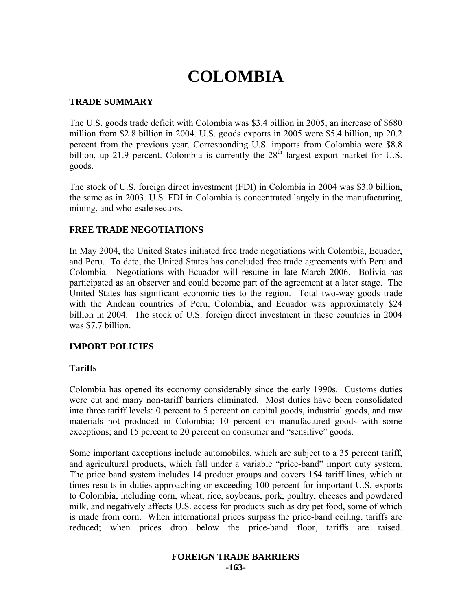# **COLOMBIA**

# **TRADE SUMMARY**

The U.S. goods trade deficit with Colombia was \$3.4 billion in 2005, an increase of \$680 million from \$2.8 billion in 2004. U.S. goods exports in 2005 were \$5.4 billion, up 20.2 percent from the previous year. Corresponding U.S. imports from Colombia were \$8.8 billion, up 21.9 percent. Colombia is currently the  $28<sup>th</sup>$  largest export market for U.S. goods.

The stock of U.S. foreign direct investment (FDI) in Colombia in 2004 was \$3.0 billion, the same as in 2003. U.S. FDI in Colombia is concentrated largely in the manufacturing, mining, and wholesale sectors.

# **FREE TRADE NEGOTIATIONS**

In May 2004, the United States initiated free trade negotiations with Colombia, Ecuador, and Peru. To date, the United States has concluded free trade agreements with Peru and Colombia. Negotiations with Ecuador will resume in late March 2006. Bolivia has participated as an observer and could become part of the agreement at a later stage. The United States has significant economic ties to the region. Total two-way goods trade with the Andean countries of Peru, Colombia, and Ecuador was approximately \$24 billion in 2004. The stock of U.S. foreign direct investment in these countries in 2004 was \$7.7 billion.

## **IMPORT POLICIES**

## **Tariffs**

Colombia has opened its economy considerably since the early 1990s. Customs duties were cut and many non-tariff barriers eliminated. Most duties have been consolidated into three tariff levels: 0 percent to 5 percent on capital goods, industrial goods, and raw materials not produced in Colombia; 10 percent on manufactured goods with some exceptions; and 15 percent to 20 percent on consumer and "sensitive" goods.

Some important exceptions include automobiles, which are subject to a 35 percent tariff, and agricultural products, which fall under a variable "price-band" import duty system. The price band system includes 14 product groups and covers 154 tariff lines, which at times results in duties approaching or exceeding 100 percent for important U.S. exports to Colombia, including corn, wheat, rice, soybeans, pork, poultry, cheeses and powdered milk, and negatively affects U.S. access for products such as dry pet food, some of which is made from corn. When international prices surpass the price-band ceiling, tariffs are reduced; when prices drop below the price-band floor, tariffs are raised.

#### **FOREIGN TRADE BARRIERS -163-**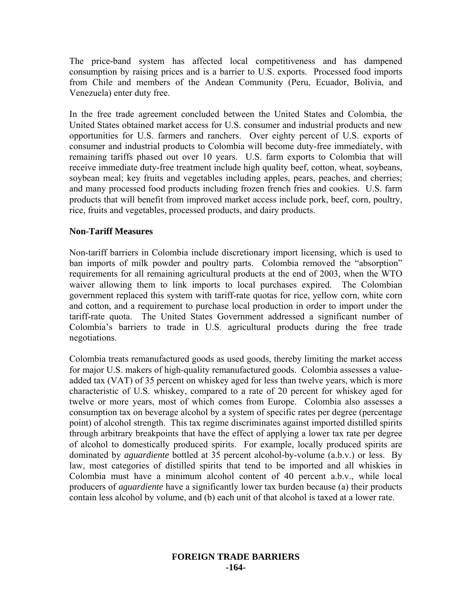The price-band system has affected local competitiveness and has dampened consumption by raising prices and is a barrier to U.S. exports. Processed food imports from Chile and members of the Andean Community (Peru, Ecuador, Bolivia, and Venezuela) enter duty free.

In the free trade agreement concluded between the United States and Colombia, the United States obtained market access for U.S. consumer and industrial products and new opportunities for U.S. farmers and ranchers. Over eighty percent of U.S. exports of consumer and industrial products to Colombia will become duty-free immediately, with remaining tariffs phased out over 10 years. U.S. farm exports to Colombia that will receive immediate duty-free treatment include high quality beef, cotton, wheat, soybeans, soybean meal; key fruits and vegetables including apples, pears, peaches, and cherries; and many processed food products including frozen french fries and cookies. U.S. farm products that will benefit from improved market access include pork, beef, corn, poultry, rice, fruits and vegetables, processed products, and dairy products.

#### **Non-Tariff Measures**

Non-tariff barriers in Colombia include discretionary import licensing, which is used to ban imports of milk powder and poultry parts. Colombia removed the "absorption" requirements for all remaining agricultural products at the end of 2003, when the WTO waiver allowing them to link imports to local purchases expired. The Colombian government replaced this system with tariff-rate quotas for rice, yellow corn, white corn and cotton, and a requirement to purchase local production in order to import under the tariff-rate quota. The United States Government addressed a significant number of Colombia's barriers to trade in U.S. agricultural products during the free trade negotiations.

Colombia treats remanufactured goods as used goods, thereby limiting the market access for major U.S. makers of high-quality remanufactured goods. Colombia assesses a valueadded tax (VAT) of 35 percent on whiskey aged for less than twelve years, which is more characteristic of U.S. whiskey, compared to a rate of 20 percent for whiskey aged for twelve or more years, most of which comes from Europe. Colombia also assesses a consumption tax on beverage alcohol by a system of specific rates per degree (percentage point) of alcohol strength. This tax regime discriminates against imported distilled spirits through arbitrary breakpoints that have the effect of applying a lower tax rate per degree of alcohol to domestically produced spirits. For example, locally produced spirits are dominated by *aguardiente* bottled at 35 percent alcohol-by-volume (a.b.v.) or less. By law, most categories of distilled spirits that tend to be imported and all whiskies in Colombia must have a minimum alcohol content of 40 percent a.b.v., while local producers of *aguardiente* have a significantly lower tax burden because (a) their products contain less alcohol by volume, and (b) each unit of that alcohol is taxed at a lower rate.

#### **FOREIGN TRADE BARRIERS -164-**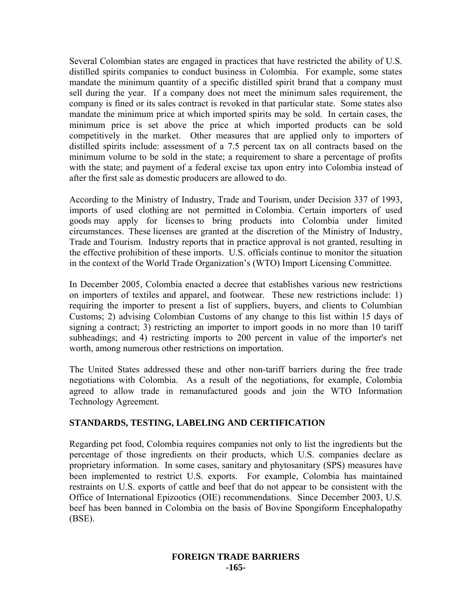Several Colombian states are engaged in practices that have restricted the ability of U.S. distilled spirits companies to conduct business in Colombia. For example, some states mandate the minimum quantity of a specific distilled spirit brand that a company must sell during the year. If a company does not meet the minimum sales requirement, the company is fined or its sales contract is revoked in that particular state. Some states also mandate the minimum price at which imported spirits may be sold. In certain cases, the minimum price is set above the price at which imported products can be sold competitively in the market. Other measures that are applied only to importers of distilled spirits include: assessment of a 7.5 percent tax on all contracts based on the minimum volume to be sold in the state; a requirement to share a percentage of profits with the state; and payment of a federal excise tax upon entry into Colombia instead of after the first sale as domestic producers are allowed to do.

According to the Ministry of Industry, Trade and Tourism, under Decision 337 of 1993, imports of used clothing are not permitted in Colombia. Certain importers of used goods may apply for licenses to bring products into Colombia under limited circumstances. These licenses are granted at the discretion of the Ministry of Industry, Trade and Tourism. Industry reports that in practice approval is not granted, resulting in the effective prohibition of these imports. U.S. officials continue to monitor the situation in the context of the World Trade Organization's (WTO) Import Licensing Committee.

In December 2005, Colombia enacted a decree that establishes various new restrictions on importers of textiles and apparel, and footwear. These new restrictions include: 1) requiring the importer to present a list of suppliers, buyers, and clients to Columbian Customs; 2) advising Colombian Customs of any change to this list within 15 days of signing a contract; 3) restricting an importer to import goods in no more than 10 tariff subheadings; and 4) restricting imports to 200 percent in value of the importer's net worth, among numerous other restrictions on importation.

The United States addressed these and other non-tariff barriers during the free trade negotiations with Colombia. As a result of the negotiations, for example, Colombia agreed to allow trade in remanufactured goods and join the WTO Information Technology Agreement.

## **STANDARDS, TESTING, LABELING AND CERTIFICATION**

Regarding pet food, Colombia requires companies not only to list the ingredients but the percentage of those ingredients on their products, which U.S. companies declare as proprietary information. In some cases, sanitary and phytosanitary (SPS) measures have been implemented to restrict U.S. exports. For example, Colombia has maintained restraints on U.S. exports of cattle and beef that do not appear to be consistent with the Office of International Epizootics (OIE) recommendations. Since December 2003, U.S. beef has been banned in Colombia on the basis of Bovine Spongiform Encephalopathy (BSE).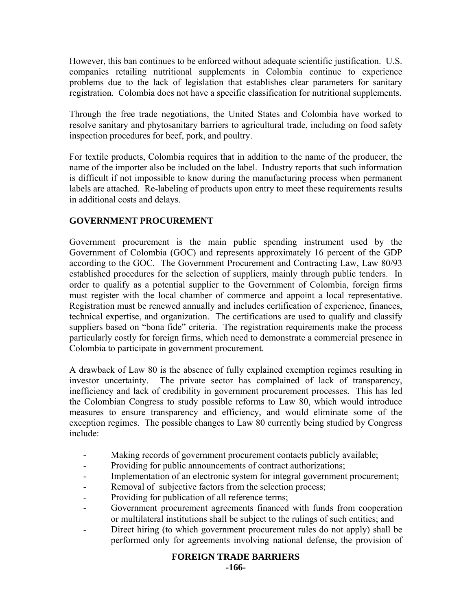However, this ban continues to be enforced without adequate scientific justification. U.S. companies retailing nutritional supplements in Colombia continue to experience problems due to the lack of legislation that establishes clear parameters for sanitary registration. Colombia does not have a specific classification for nutritional supplements.

Through the free trade negotiations, the United States and Colombia have worked to resolve sanitary and phytosanitary barriers to agricultural trade, including on food safety inspection procedures for beef, pork, and poultry.

For textile products, Colombia requires that in addition to the name of the producer, the name of the importer also be included on the label. Industry reports that such information is difficult if not impossible to know during the manufacturing process when permanent labels are attached. Re-labeling of products upon entry to meet these requirements results in additional costs and delays.

# **GOVERNMENT PROCUREMENT**

Government procurement is the main public spending instrument used by the Government of Colombia (GOC) and represents approximately 16 percent of the GDP according to the GOC. The Government Procurement and Contracting Law, Law 80/93 established procedures for the selection of suppliers, mainly through public tenders. In order to qualify as a potential supplier to the Government of Colombia, foreign firms must register with the local chamber of commerce and appoint a local representative. Registration must be renewed annually and includes certification of experience, finances, technical expertise, and organization. The certifications are used to qualify and classify suppliers based on "bona fide" criteria. The registration requirements make the process particularly costly for foreign firms, which need to demonstrate a commercial presence in Colombia to participate in government procurement.

A drawback of Law 80 is the absence of fully explained exemption regimes resulting in investor uncertainty. The private sector has complained of lack of transparency, inefficiency and lack of credibility in government procurement processes. This has led the Colombian Congress to study possible reforms to Law 80, which would introduce measures to ensure transparency and efficiency, and would eliminate some of the exception regimes. The possible changes to Law 80 currently being studied by Congress include:

- Making records of government procurement contacts publicly available;
- Providing for public announcements of contract authorizations;
- Implementation of an electronic system for integral government procurement;
- Removal of subjective factors from the selection process;
- Providing for publication of all reference terms;
- Government procurement agreements financed with funds from cooperation or multilateral institutions shall be subject to the rulings of such entities; and
- Direct hiring (to which government procurement rules do not apply) shall be performed only for agreements involving national defense, the provision of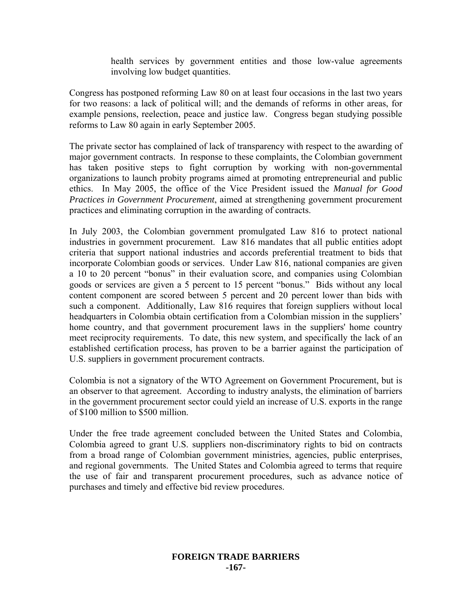health services by government entities and those low-value agreements involving low budget quantities.

Congress has postponed reforming Law 80 on at least four occasions in the last two years for two reasons: a lack of political will; and the demands of reforms in other areas, for example pensions, reelection, peace and justice law. Congress began studying possible reforms to Law 80 again in early September 2005.

The private sector has complained of lack of transparency with respect to the awarding of major government contracts. In response to these complaints, the Colombian government has taken positive steps to fight corruption by working with non-governmental organizations to launch probity programs aimed at promoting entrepreneurial and public ethics. In May 2005, the office of the Vice President issued the *Manual for Good Practices in Government Procurement*, aimed at strengthening government procurement practices and eliminating corruption in the awarding of contracts.

In July 2003, the Colombian government promulgated Law 816 to protect national industries in government procurement. Law 816 mandates that all public entities adopt criteria that support national industries and accords preferential treatment to bids that incorporate Colombian goods or services. Under Law 816, national companies are given a 10 to 20 percent "bonus" in their evaluation score, and companies using Colombian goods or services are given a 5 percent to 15 percent "bonus." Bids without any local content component are scored between 5 percent and 20 percent lower than bids with such a component. Additionally, Law 816 requires that foreign suppliers without local headquarters in Colombia obtain certification from a Colombian mission in the suppliers' home country, and that government procurement laws in the suppliers' home country meet reciprocity requirements. To date, this new system, and specifically the lack of an established certification process, has proven to be a barrier against the participation of U.S. suppliers in government procurement contracts.

Colombia is not a signatory of the WTO Agreement on Government Procurement, but is an observer to that agreement. According to industry analysts, the elimination of barriers in the government procurement sector could yield an increase of U.S. exports in the range of \$100 million to \$500 million.

Under the free trade agreement concluded between the United States and Colombia, Colombia agreed to grant U.S. suppliers non-discriminatory rights to bid on contracts from a broad range of Colombian government ministries, agencies, public enterprises, and regional governments. The United States and Colombia agreed to terms that require the use of fair and transparent procurement procedures, such as advance notice of purchases and timely and effective bid review procedures.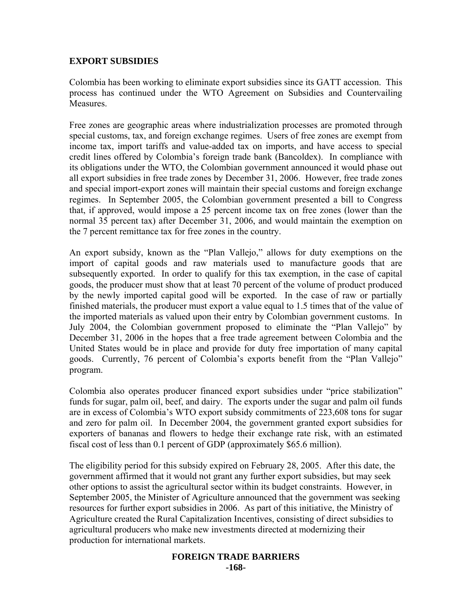#### **EXPORT SUBSIDIES**

Colombia has been working to eliminate export subsidies since its GATT accession. This process has continued under the WTO Agreement on Subsidies and Countervailing Measures.

Free zones are geographic areas where industrialization processes are promoted through special customs, tax, and foreign exchange regimes. Users of free zones are exempt from income tax, import tariffs and value-added tax on imports, and have access to special credit lines offered by Colombia's foreign trade bank (Bancoldex). In compliance with its obligations under the WTO, the Colombian government announced it would phase out all export subsidies in free trade zones by December 31, 2006. However, free trade zones and special import-export zones will maintain their special customs and foreign exchange regimes. In September 2005, the Colombian government presented a bill to Congress that, if approved, would impose a 25 percent income tax on free zones (lower than the normal 35 percent tax) after December 31, 2006, and would maintain the exemption on the 7 percent remittance tax for free zones in the country.

An export subsidy, known as the "Plan Vallejo," allows for duty exemptions on the import of capital goods and raw materials used to manufacture goods that are subsequently exported. In order to qualify for this tax exemption, in the case of capital goods, the producer must show that at least 70 percent of the volume of product produced by the newly imported capital good will be exported. In the case of raw or partially finished materials, the producer must export a value equal to 1.5 times that of the value of the imported materials as valued upon their entry by Colombian government customs. In July 2004, the Colombian government proposed to eliminate the "Plan Vallejo" by December 31, 2006 in the hopes that a free trade agreement between Colombia and the United States would be in place and provide for duty free importation of many capital goods. Currently, 76 percent of Colombia's exports benefit from the "Plan Vallejo" program.

Colombia also operates producer financed export subsidies under "price stabilization" funds for sugar, palm oil, beef, and dairy. The exports under the sugar and palm oil funds are in excess of Colombia's WTO export subsidy commitments of 223,608 tons for sugar and zero for palm oil. In December 2004, the government granted export subsidies for exporters of bananas and flowers to hedge their exchange rate risk, with an estimated fiscal cost of less than 0.1 percent of GDP (approximately \$65.6 million).

The eligibility period for this subsidy expired on February 28, 2005. After this date, the government affirmed that it would not grant any further export subsidies, but may seek other options to assist the agricultural sector within its budget constraints. However, in September 2005, the Minister of Agriculture announced that the government was seeking resources for further export subsidies in 2006. As part of this initiative, the Ministry of Agriculture created the Rural Capitalization Incentives, consisting of direct subsidies to agricultural producers who make new investments directed at modernizing their production for international markets.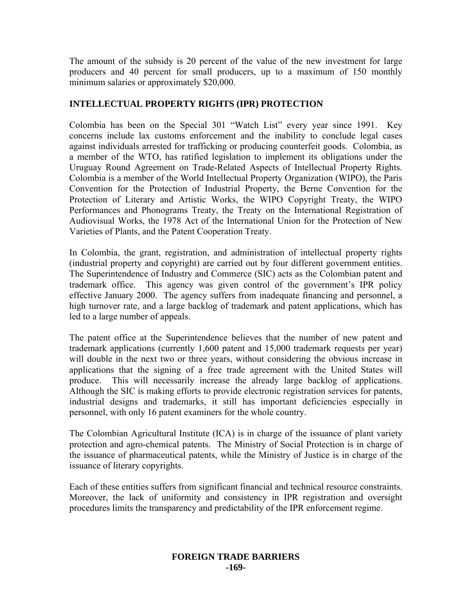The amount of the subsidy is 20 percent of the value of the new investment for large producers and 40 percent for small producers, up to a maximum of 150 monthly minimum salaries or approximately \$20,000.

## **INTELLECTUAL PROPERTY RIGHTS (IPR) PROTECTION**

Colombia has been on the Special 301 "Watch List" every year since 1991. Key concerns include lax customs enforcement and the inability to conclude legal cases against individuals arrested for trafficking or producing counterfeit goods. Colombia, as a member of the WTO, has ratified legislation to implement its obligations under the Uruguay Round Agreement on Trade-Related Aspects of Intellectual Property Rights. Colombia is a member of the World Intellectual Property Organization (WIPO), the Paris Convention for the Protection of Industrial Property, the Berne Convention for the Protection of Literary and Artistic Works, the WIPO Copyright Treaty, the WIPO Performances and Phonograms Treaty, the Treaty on the International Registration of Audiovisual Works, the 1978 Act of the International Union for the Protection of New Varieties of Plants, and the Patent Cooperation Treaty.

In Colombia, the grant, registration, and administration of intellectual property rights (industrial property and copyright) are carried out by four different government entities. The Superintendence of Industry and Commerce (SIC) acts as the Colombian patent and trademark office. This agency was given control of the government's IPR policy effective January 2000. The agency suffers from inadequate financing and personnel, a high turnover rate, and a large backlog of trademark and patent applications, which has led to a large number of appeals.

The patent office at the Superintendence believes that the number of new patent and trademark applications (currently 1,600 patent and 15,000 trademark requests per year) will double in the next two or three years, without considering the obvious increase in applications that the signing of a free trade agreement with the United States will produce. This will necessarily increase the already large backlog of applications. Although the SIC is making efforts to provide electronic registration services for patents, industrial designs and trademarks, it still has important deficiencies especially in personnel, with only 16 patent examiners for the whole country.

The Colombian Agricultural Institute (ICA) is in charge of the issuance of plant variety protection and agro-chemical patents. The Ministry of Social Protection is in charge of the issuance of pharmaceutical patents, while the Ministry of Justice is in charge of the issuance of literary copyrights.

Each of these entities suffers from significant financial and technical resource constraints. Moreover, the lack of uniformity and consistency in IPR registration and oversight procedures limits the transparency and predictability of the IPR enforcement regime.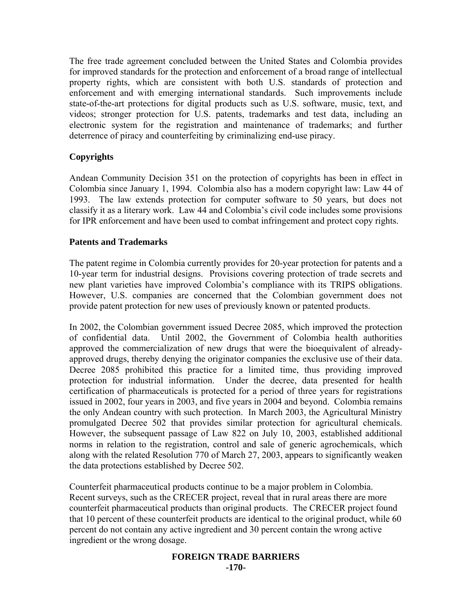The free trade agreement concluded between the United States and Colombia provides for improved standards for the protection and enforcement of a broad range of intellectual property rights, which are consistent with both U.S. standards of protection and enforcement and with emerging international standards. Such improvements include state-of-the-art protections for digital products such as U.S. software, music, text, and videos; stronger protection for U.S. patents, trademarks and test data, including an electronic system for the registration and maintenance of trademarks; and further deterrence of piracy and counterfeiting by criminalizing end-use piracy.

## **Copyrights**

Andean Community Decision 351 on the protection of copyrights has been in effect in Colombia since January 1, 1994. Colombia also has a modern copyright law: Law 44 of 1993. The law extends protection for computer software to 50 years, but does not classify it as a literary work. Law 44 and Colombia's civil code includes some provisions for IPR enforcement and have been used to combat infringement and protect copy rights.

## **Patents and Trademarks**

The patent regime in Colombia currently provides for 20-year protection for patents and a 10-year term for industrial designs. Provisions covering protection of trade secrets and new plant varieties have improved Colombia's compliance with its TRIPS obligations. However, U.S. companies are concerned that the Colombian government does not provide patent protection for new uses of previously known or patented products.

In 2002, the Colombian government issued Decree 2085, which improved the protection of confidential data. Until 2002, the Government of Colombia health authorities approved the commercialization of new drugs that were the bioequivalent of alreadyapproved drugs, thereby denying the originator companies the exclusive use of their data. Decree 2085 prohibited this practice for a limited time, thus providing improved protection for industrial information. Under the decree, data presented for health certification of pharmaceuticals is protected for a period of three years for registrations issued in 2002, four years in 2003, and five years in 2004 and beyond. Colombia remains the only Andean country with such protection. In March 2003, the Agricultural Ministry promulgated Decree 502 that provides similar protection for agricultural chemicals. However, the subsequent passage of Law 822 on July 10, 2003, established additional norms in relation to the registration, control and sale of generic agrochemicals, which along with the related Resolution 770 of March 27, 2003, appears to significantly weaken the data protections established by Decree 502.

Counterfeit pharmaceutical products continue to be a major problem in Colombia. Recent surveys, such as the CRECER project, reveal that in rural areas there are more counterfeit pharmaceutical products than original products. The CRECER project found that 10 percent of these counterfeit products are identical to the original product, while 60 percent do not contain any active ingredient and 30 percent contain the wrong active ingredient or the wrong dosage.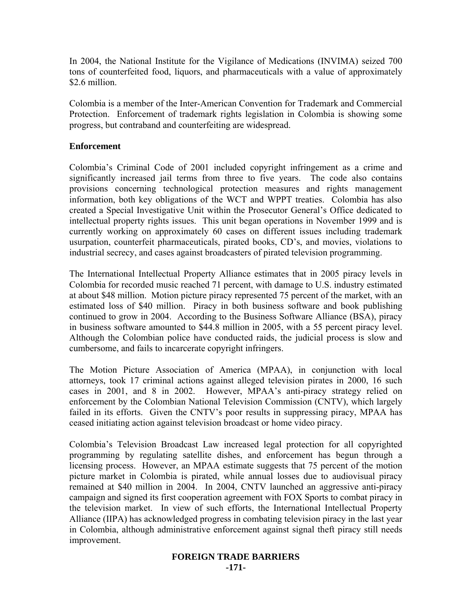In 2004, the National Institute for the Vigilance of Medications (INVIMA) seized 700 tons of counterfeited food, liquors, and pharmaceuticals with a value of approximately \$2.6 million.

Colombia is a member of the Inter-American Convention for Trademark and Commercial Protection. Enforcement of trademark rights legislation in Colombia is showing some progress, but contraband and counterfeiting are widespread.

#### **Enforcement**

Colombia's Criminal Code of 2001 included copyright infringement as a crime and significantly increased jail terms from three to five years. The code also contains provisions concerning technological protection measures and rights management information, both key obligations of the WCT and WPPT treaties. Colombia has also created a Special Investigative Unit within the Prosecutor General's Office dedicated to intellectual property rights issues. This unit began operations in November 1999 and is currently working on approximately 60 cases on different issues including trademark usurpation, counterfeit pharmaceuticals, pirated books, CD's, and movies, violations to industrial secrecy, and cases against broadcasters of pirated television programming.

The International Intellectual Property Alliance estimates that in 2005 piracy levels in Colombia for recorded music reached 71 percent, with damage to U.S. industry estimated at about \$48 million. Motion picture piracy represented 75 percent of the market, with an estimated loss of \$40 million. Piracy in both business software and book publishing continued to grow in 2004. According to the Business Software Alliance (BSA), piracy in business software amounted to \$44.8 million in 2005, with a 55 percent piracy level. Although the Colombian police have conducted raids, the judicial process is slow and cumbersome, and fails to incarcerate copyright infringers.

The Motion Picture Association of America (MPAA), in conjunction with local attorneys, took 17 criminal actions against alleged television pirates in 2000, 16 such cases in 2001, and 8 in 2002. However, MPAA's anti-piracy strategy relied on enforcement by the Colombian National Television Commission (CNTV), which largely failed in its efforts. Given the CNTV's poor results in suppressing piracy, MPAA has ceased initiating action against television broadcast or home video piracy.

Colombia's Television Broadcast Law increased legal protection for all copyrighted programming by regulating satellite dishes, and enforcement has begun through a licensing process. However, an MPAA estimate suggests that 75 percent of the motion picture market in Colombia is pirated, while annual losses due to audiovisual piracy remained at \$40 million in 2004. In 2004, CNTV launched an aggressive anti-piracy campaign and signed its first cooperation agreement with FOX Sports to combat piracy in the television market. In view of such efforts, the International Intellectual Property Alliance (IIPA) has acknowledged progress in combating television piracy in the last year in Colombia, although administrative enforcement against signal theft piracy still needs improvement.

#### **FOREIGN TRADE BARRIERS -171-**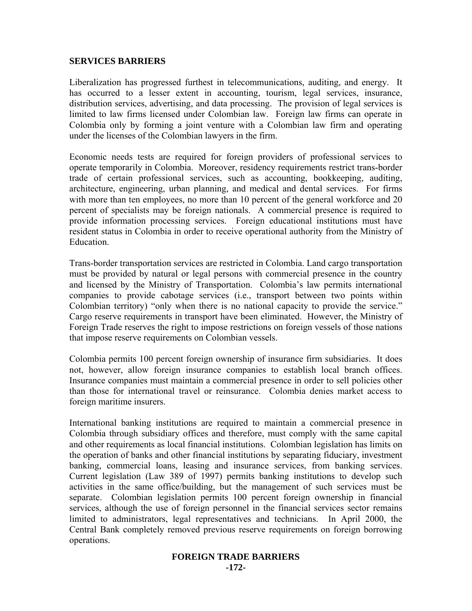#### **SERVICES BARRIERS**

Liberalization has progressed furthest in telecommunications, auditing, and energy. It has occurred to a lesser extent in accounting, tourism, legal services, insurance, distribution services, advertising, and data processing. The provision of legal services is limited to law firms licensed under Colombian law. Foreign law firms can operate in Colombia only by forming a joint venture with a Colombian law firm and operating under the licenses of the Colombian lawyers in the firm.

Economic needs tests are required for foreign providers of professional services to operate temporarily in Colombia. Moreover, residency requirements restrict trans-border trade of certain professional services, such as accounting, bookkeeping, auditing, architecture, engineering, urban planning, and medical and dental services. For firms with more than ten employees, no more than 10 percent of the general workforce and 20 percent of specialists may be foreign nationals. A commercial presence is required to provide information processing services. Foreign educational institutions must have resident status in Colombia in order to receive operational authority from the Ministry of Education.

Trans-border transportation services are restricted in Colombia. Land cargo transportation must be provided by natural or legal persons with commercial presence in the country and licensed by the Ministry of Transportation. Colombia's law permits international companies to provide cabotage services (i.e., transport between two points within Colombian territory) "only when there is no national capacity to provide the service." Cargo reserve requirements in transport have been eliminated. However, the Ministry of Foreign Trade reserves the right to impose restrictions on foreign vessels of those nations that impose reserve requirements on Colombian vessels.

Colombia permits 100 percent foreign ownership of insurance firm subsidiaries. It does not, however, allow foreign insurance companies to establish local branch offices. Insurance companies must maintain a commercial presence in order to sell policies other than those for international travel or reinsurance. Colombia denies market access to foreign maritime insurers.

International banking institutions are required to maintain a commercial presence in Colombia through subsidiary offices and therefore, must comply with the same capital and other requirements as local financial institutions. Colombian legislation has limits on the operation of banks and other financial institutions by separating fiduciary, investment banking, commercial loans, leasing and insurance services, from banking services. Current legislation (Law 389 of 1997) permits banking institutions to develop such activities in the same office/building, but the management of such services must be separate. Colombian legislation permits 100 percent foreign ownership in financial services, although the use of foreign personnel in the financial services sector remains limited to administrators, legal representatives and technicians. In April 2000, the Central Bank completely removed previous reserve requirements on foreign borrowing operations.

# **FOREIGN TRADE BARRIERS**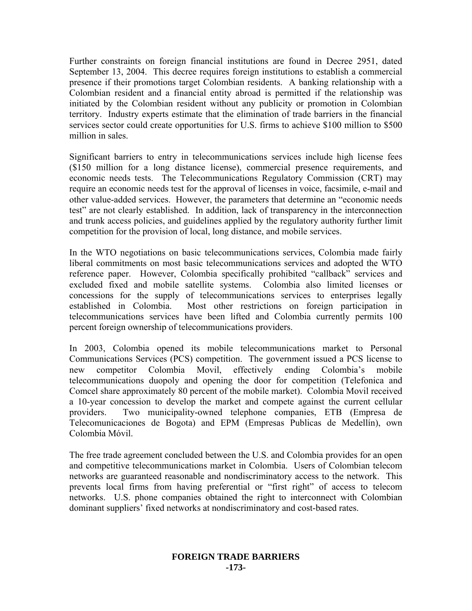Further constraints on foreign financial institutions are found in Decree 2951, dated September 13, 2004. This decree requires foreign institutions to establish a commercial presence if their promotions target Colombian residents. A banking relationship with a Colombian resident and a financial entity abroad is permitted if the relationship was initiated by the Colombian resident without any publicity or promotion in Colombian territory. Industry experts estimate that the elimination of trade barriers in the financial services sector could create opportunities for U.S. firms to achieve \$100 million to \$500 million in sales.

Significant barriers to entry in telecommunications services include high license fees (\$150 million for a long distance license), commercial presence requirements, and economic needs tests. The Telecommunications Regulatory Commission (CRT) may require an economic needs test for the approval of licenses in voice, facsimile, e-mail and other value-added services. However, the parameters that determine an "economic needs test" are not clearly established. In addition, lack of transparency in the interconnection and trunk access policies, and guidelines applied by the regulatory authority further limit competition for the provision of local, long distance, and mobile services.

In the WTO negotiations on basic telecommunications services, Colombia made fairly liberal commitments on most basic telecommunications services and adopted the WTO reference paper. However, Colombia specifically prohibited "callback" services and excluded fixed and mobile satellite systems. Colombia also limited licenses or concessions for the supply of telecommunications services to enterprises legally established in Colombia. Most other restrictions on foreign participation in telecommunications services have been lifted and Colombia currently permits 100 percent foreign ownership of telecommunications providers.

In 2003, Colombia opened its mobile telecommunications market to Personal Communications Services (PCS) competition. The government issued a PCS license to new competitor Colombia Movil, effectively ending Colombia's mobile telecommunications duopoly and opening the door for competition (Telefonica and Comcel share approximately 80 percent of the mobile market). Colombia Movil received a 10-year concession to develop the market and compete against the current cellular providers. Two municipality-owned telephone companies, ETB (Empresa de Telecomunicaciones de Bogota) and EPM (Empresas Publicas de Medellín), own Colombia Móvil.

The free trade agreement concluded between the U.S. and Colombia provides for an open and competitive telecommunications market in Colombia. Users of Colombian telecom networks are guaranteed reasonable and nondiscriminatory access to the network. This prevents local firms from having preferential or "first right" of access to telecom networks. U.S. phone companies obtained the right to interconnect with Colombian dominant suppliers' fixed networks at nondiscriminatory and cost-based rates.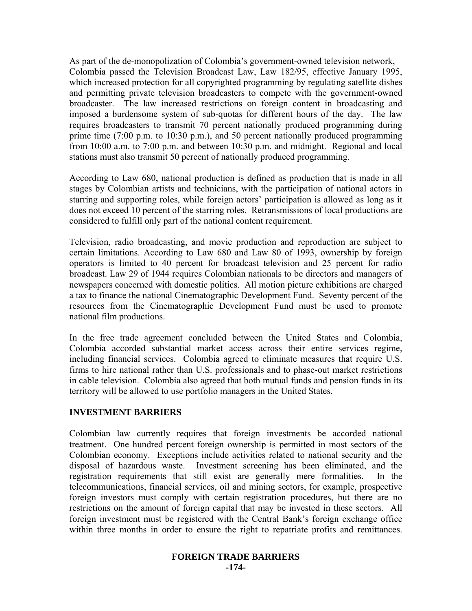As part of the de-monopolization of Colombia's government-owned television network, Colombia passed the Television Broadcast Law, Law 182/95, effective January 1995, which increased protection for all copyrighted programming by regulating satellite dishes and permitting private television broadcasters to compete with the government-owned broadcaster. The law increased restrictions on foreign content in broadcasting and imposed a burdensome system of sub-quotas for different hours of the day. The law requires broadcasters to transmit 70 percent nationally produced programming during prime time (7:00 p.m. to 10:30 p.m.), and 50 percent nationally produced programming from 10:00 a.m. to 7:00 p.m. and between 10:30 p.m. and midnight. Regional and local stations must also transmit 50 percent of nationally produced programming.

According to Law 680, national production is defined as production that is made in all stages by Colombian artists and technicians, with the participation of national actors in starring and supporting roles, while foreign actors' participation is allowed as long as it does not exceed 10 percent of the starring roles. Retransmissions of local productions are considered to fulfill only part of the national content requirement.

Television, radio broadcasting, and movie production and reproduction are subject to certain limitations. According to Law 680 and Law 80 of 1993, ownership by foreign operators is limited to 40 percent for broadcast television and 25 percent for radio broadcast. Law 29 of 1944 requires Colombian nationals to be directors and managers of newspapers concerned with domestic politics. All motion picture exhibitions are charged a tax to finance the national Cinematographic Development Fund. Seventy percent of the resources from the Cinematographic Development Fund must be used to promote national film productions.

In the free trade agreement concluded between the United States and Colombia, Colombia accorded substantial market access across their entire services regime, including financial services. Colombia agreed to eliminate measures that require U.S. firms to hire national rather than U.S. professionals and to phase-out market restrictions in cable television. Colombia also agreed that both mutual funds and pension funds in its territory will be allowed to use portfolio managers in the United States.

#### **INVESTMENT BARRIERS**

Colombian law currently requires that foreign investments be accorded national treatment. One hundred percent foreign ownership is permitted in most sectors of the Colombian economy. Exceptions include activities related to national security and the disposal of hazardous waste. Investment screening has been eliminated, and the registration requirements that still exist are generally mere formalities. In the telecommunications, financial services, oil and mining sectors, for example, prospective foreign investors must comply with certain registration procedures, but there are no restrictions on the amount of foreign capital that may be invested in these sectors. All foreign investment must be registered with the Central Bank's foreign exchange office within three months in order to ensure the right to repatriate profits and remittances.

#### **FOREIGN TRADE BARRIERS -174-**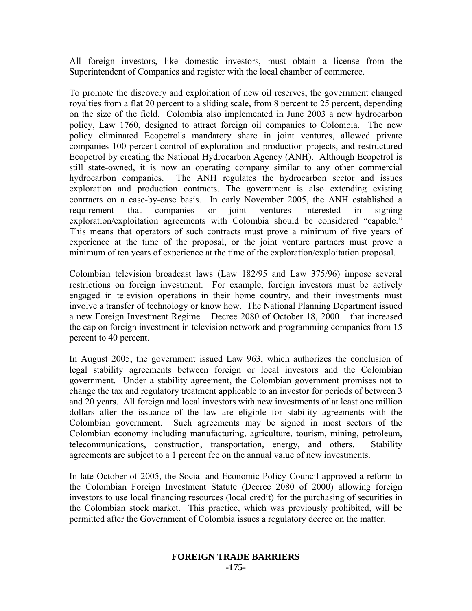All foreign investors, like domestic investors, must obtain a license from the Superintendent of Companies and register with the local chamber of commerce.

To promote the discovery and exploitation of new oil reserves, the government changed royalties from a flat 20 percent to a sliding scale, from 8 percent to 25 percent, depending on the size of the field. Colombia also implemented in June 2003 a new hydrocarbon policy, Law 1760, designed to attract foreign oil companies to Colombia. The new policy eliminated Ecopetrol's mandatory share in joint ventures, allowed private companies 100 percent control of exploration and production projects, and restructured Ecopetrol by creating the National Hydrocarbon Agency (ANH). Although Ecopetrol is still state-owned, it is now an operating company similar to any other commercial hydrocarbon companies. The ANH regulates the hydrocarbon sector and issues exploration and production contracts. The government is also extending existing contracts on a case-by-case basis. In early November 2005, the ANH established a requirement that companies or joint ventures interested in signing exploration/exploitation agreements with Colombia should be considered "capable." This means that operators of such contracts must prove a minimum of five years of experience at the time of the proposal, or the joint venture partners must prove a minimum of ten years of experience at the time of the exploration/exploitation proposal.

Colombian television broadcast laws (Law 182/95 and Law 375/96) impose several restrictions on foreign investment. For example, foreign investors must be actively engaged in television operations in their home country, and their investments must involve a transfer of technology or know how. The National Planning Department issued a new Foreign Investment Regime – Decree 2080 of October 18, 2000 – that increased the cap on foreign investment in television network and programming companies from 15 percent to 40 percent.

In August 2005, the government issued Law 963, which authorizes the conclusion of legal stability agreements between foreign or local investors and the Colombian government. Under a stability agreement, the Colombian government promises not to change the tax and regulatory treatment applicable to an investor for periods of between 3 and 20 years. All foreign and local investors with new investments of at least one million dollars after the issuance of the law are eligible for stability agreements with the Colombian government. Such agreements may be signed in most sectors of the Colombian economy including manufacturing, agriculture, tourism, mining, petroleum, telecommunications, construction, transportation, energy, and others. Stability agreements are subject to a 1 percent fee on the annual value of new investments.

In late October of 2005, the Social and Economic Policy Council approved a reform to the Colombian Foreign Investment Statute (Decree 2080 of 2000) allowing foreign investors to use local financing resources (local credit) for the purchasing of securities in the Colombian stock market. This practice, which was previously prohibited, will be permitted after the Government of Colombia issues a regulatory decree on the matter.

#### **FOREIGN TRADE BARRIERS -175-**